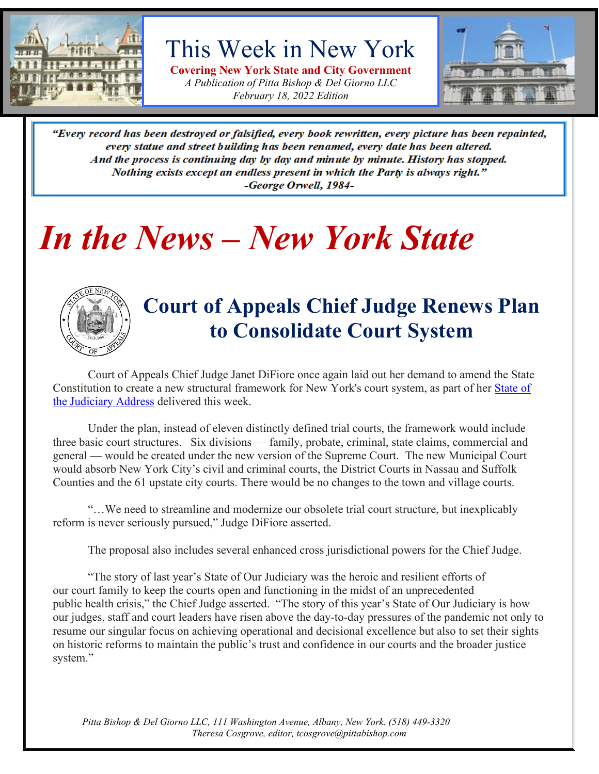

## This Week in New York

**Covering New York State and City Government** *A Publication of Pitta Bishop & Del Giorno LLC February 18, 2022 Edition*



"Every record has been destroyed or falsified, every book rewritten, every picture has been repainted, every statue and street building has been renamed, every date has been altered. And the process is continuing day by day and minute by minute. History has stopped. Nothing exists except an endless present in which the Party is always right." -George Orwell, 1984-

## *In the News – New York State*



### **Court of Appeals Chief Judge Renews Plan to Consolidate Court System**

Court of Appeals Chief Judge Janet DiFiore once again laid out her demand to amend the State Constitution to create a new structural framework for New York's court system, as part of her [State of](https://www.nycourts.gov/whatsnew/pdf/22_SOJ-Speech.pdf)  [the Judiciary Address](https://www.nycourts.gov/whatsnew/pdf/22_SOJ-Speech.pdf) delivered this week.

Under the plan, instead of eleven distinctly defined trial courts, the framework would include three basic court structures. Six divisions — family, probate, criminal, state claims, commercial and general — would be created under the new version of the Supreme Court. The new Municipal Court would absorb New York City's civil and criminal courts, the District Courts in Nassau and Suffolk Counties and the 61 upstate city courts. There would be no changes to the town and village courts.

"…We need to streamline and modernize our obsolete trial court structure, but inexplicably reform is never seriously pursued," Judge DiFiore asserted.

The proposal also includes several enhanced cross jurisdictional powers for the Chief Judge.

"The story of last year's State of Our Judiciary was the heroic and resilient efforts of our court family to keep the courts open and functioning in the midst of an unprecedented public health crisis," the Chief Judge asserted. "The story of this year's State of Our Judiciary is how our judges, staff and court leaders have risen above the day-to-day pressures of the pandemic not only to resume our singular focus on achieving operational and decisional excellence but also to set their sights on historic reforms to maintain the public's trust and confidence in our courts and the broader justice system."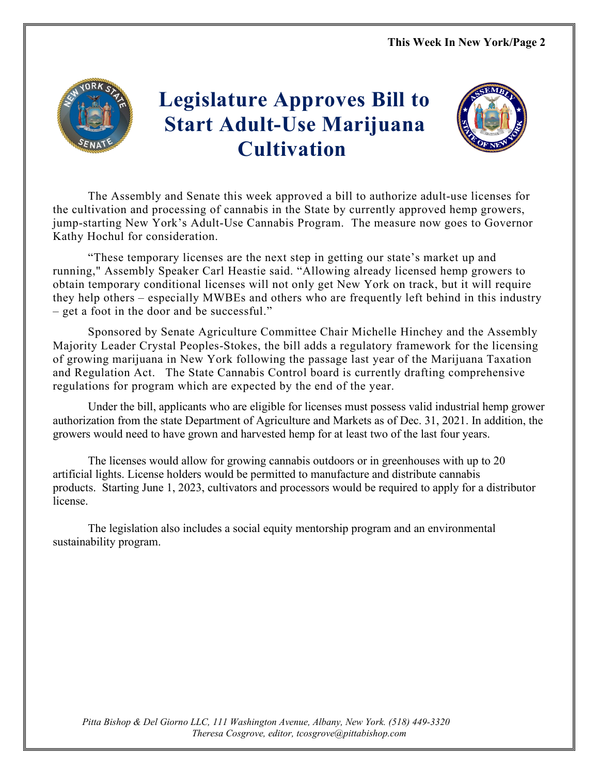

## **Legislature Approves Bill to Start Adult-Use Marijuana Cultivation**



The Assembly and Senate this week approved a bill to authorize adult-use licenses for the cultivation and processing of cannabis in the State by currently approved hemp growers, jump-starting New York's Adult-Use Cannabis Program. The measure now goes to Governor Kathy Hochul for consideration.

"These temporary licenses are the next step in getting our state's market up and running," Assembly Speaker Carl Heastie said. "Allowing already licensed hemp growers to obtain temporary conditional licenses will not only get New York on track, but it will require they help others – especially MWBEs and others who are frequently left behind in this industry – get a foot in the door and be successful."

Sponsored by Senate Agriculture Committee Chair Michelle Hinchey and the Assembly Majority Leader Crystal Peoples-Stokes, the bill adds a regulatory framework for the licensing of growing marijuana in New York following the passage last year of the Marijuana Taxation and Regulation Act. The State Cannabis Control board is currently drafting comprehensive regulations for program which are expected by the end of the year.

Under the bill, applicants who are eligible for licenses must possess valid industrial hemp grower authorization from the state Department of Agriculture and Markets as of Dec. 31, 2021. In addition, the growers would need to have grown and harvested hemp for at least two of the last four years.

The licenses would allow for growing cannabis outdoors or in greenhouses with up to 20 artificial lights. License holders would be permitted to manufacture and distribute cannabis products. Starting June 1, 2023, cultivators and processors would be required to apply for a distributor license.

The legislation also includes a social equity mentorship program and an environmental sustainability program.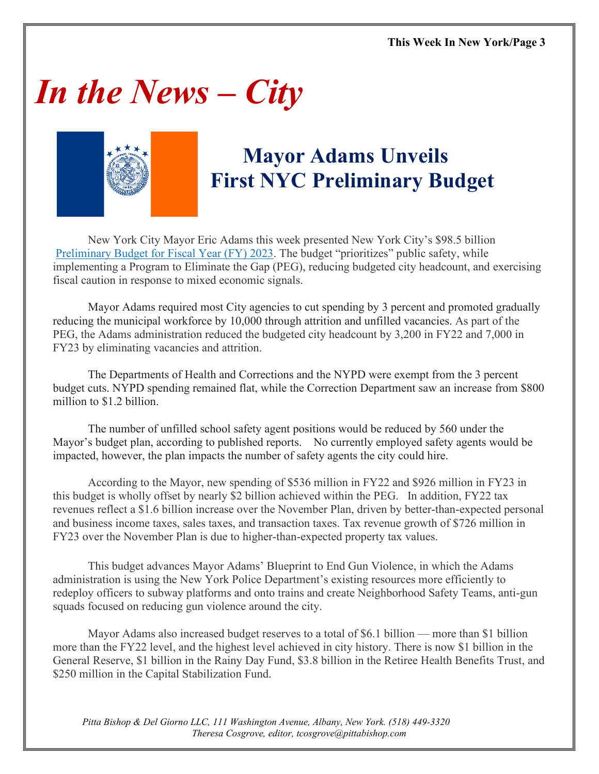# *In the News – City*



## **Mayor Adams Unveils First NYC Preliminary Budget**

New York City Mayor Eric Adams this week presented New York City's \$98.5 billion [Preliminary Budget for Fiscal Year \(FY\) 2023.](https://www1.nyc.gov/site/omb/publications/finplan02-22.page) The budget "prioritizes" public safety, while implementing a Program to Eliminate the Gap (PEG), reducing budgeted city headcount, and exercising fiscal caution in response to mixed economic signals.

Mayor Adams required most City agencies to cut spending by 3 percent and promoted gradually reducing the municipal workforce by 10,000 through attrition and unfilled vacancies. As part of the PEG, the Adams administration reduced the budgeted city headcount by 3,200 in FY22 and 7,000 in FY23 by eliminating vacancies and attrition.

The Departments of Health and Corrections and the NYPD were exempt from the 3 percent budget cuts. NYPD spending remained flat, while the Correction Department saw an increase from \$800 million to \$1.2 billion.

The number of unfilled school safety agent positions would be reduced by 560 under the Mayor's budget plan, according to published reports. No currently employed safety agents would be impacted, however, the plan impacts the number of safety agents the city could hire.

According to the Mayor, new spending of \$536 million in FY22 and \$926 million in FY23 in this budget is wholly offset by nearly \$2 billion achieved within the PEG. In addition, FY22 tax revenues reflect a \$1.6 billion increase over the November Plan, driven by better-than-expected personal and business income taxes, sales taxes, and transaction taxes. Tax revenue growth of \$726 million in FY23 over the November Plan is due to higher-than-expected property tax values.

This budget advances Mayor Adams' Blueprint to End Gun Violence, in which the Adams administration is using the New York Police Department's existing resources more efficiently to redeploy officers to subway platforms and onto trains and create Neighborhood Safety Teams, anti-gun squads focused on reducing gun violence around the city.

Mayor Adams also increased budget reserves to a total of \$6.1 billion — more than \$1 billion more than the FY22 level, and the highest level achieved in city history. There is now \$1 billion in the General Reserve, \$1 billion in the Rainy Day Fund, \$3.8 billion in the Retiree Health Benefits Trust, and \$250 million in the Capital Stabilization Fund.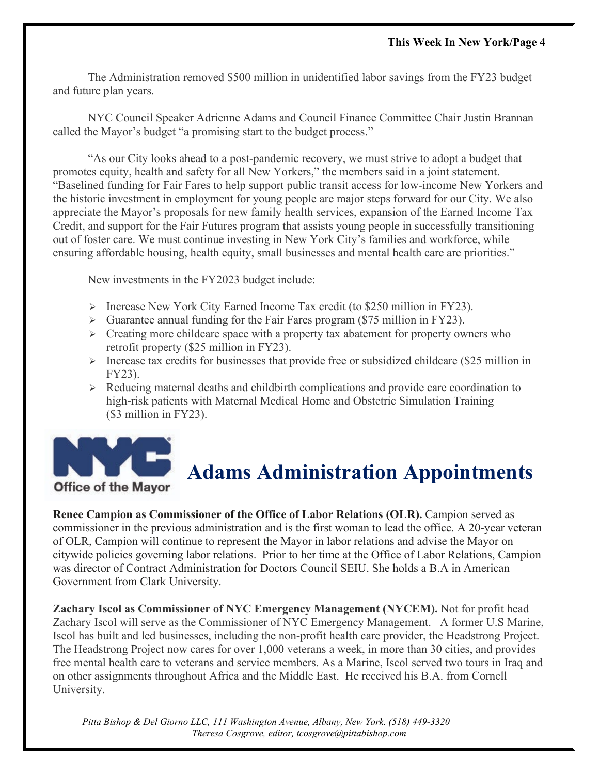The Administration removed \$500 million in unidentified labor savings from the FY23 budget and future plan years.

NYC Council Speaker Adrienne Adams and Council Finance Committee Chair Justin Brannan called the Mayor's budget "a promising start to the budget process."

"As our City looks ahead to a post-pandemic recovery, we must strive to adopt a budget that promotes equity, health and safety for all New Yorkers," the members said in a joint statement. "Baselined funding for Fair Fares to help support public transit access for low-income New Yorkers and the historic investment in employment for young people are major steps forward for our City. We also appreciate the Mayor's proposals for new family health services, expansion of the Earned Income Tax Credit, and support for the Fair Futures program that assists young people in successfully transitioning out of foster care. We must continue investing in New York City's families and workforce, while ensuring affordable housing, health equity, small businesses and mental health care are priorities."

New investments in the FY2023 budget include:

- $\triangleright$  Increase New York City Earned Income Tax credit (to \$250 million in FY23).
- $\triangleright$  Guarantee annual funding for the Fair Fares program (\$75 million in FY23).
- $\triangleright$  Creating more childcare space with a property tax abatement for property owners who retrofit property (\$25 million in FY23).
- $\triangleright$  Increase tax credits for businesses that provide free or subsidized childcare (\$25 million in FY23).
- $\triangleright$  Reducing maternal deaths and childbirth complications and provide care coordination to high-risk patients with Maternal Medical Home and Obstetric Simulation Training (\$3 million in FY23).



## **Adams Administration Appointments**

**Renee Campion as Commissioner of the Office of Labor Relations (OLR).** Campion served as commissioner in the previous administration and is the first woman to lead the office. A 20-year veteran of OLR, Campion will continue to represent the Mayor in labor relations and advise the Mayor on citywide policies governing labor relations. Prior to her time at the Office of Labor Relations, Campion was director of Contract Administration for Doctors Council SEIU. She holds a B.A in American Government from Clark University.

**Zachary Iscol as Commissioner of NYC Emergency Management (NYCEM).** Not for profit head Zachary Iscol will serve as the Commissioner of NYC Emergency Management. A former U.S Marine, Iscol has built and led businesses, including the non-profit health care provider, the Headstrong Project. The Headstrong Project now cares for over 1,000 veterans a week, in more than 30 cities, and provides free mental health care to veterans and service members. As a Marine, Iscol served two tours in Iraq and on other assignments throughout Africa and the Middle East. He received his B.A. from Cornell University.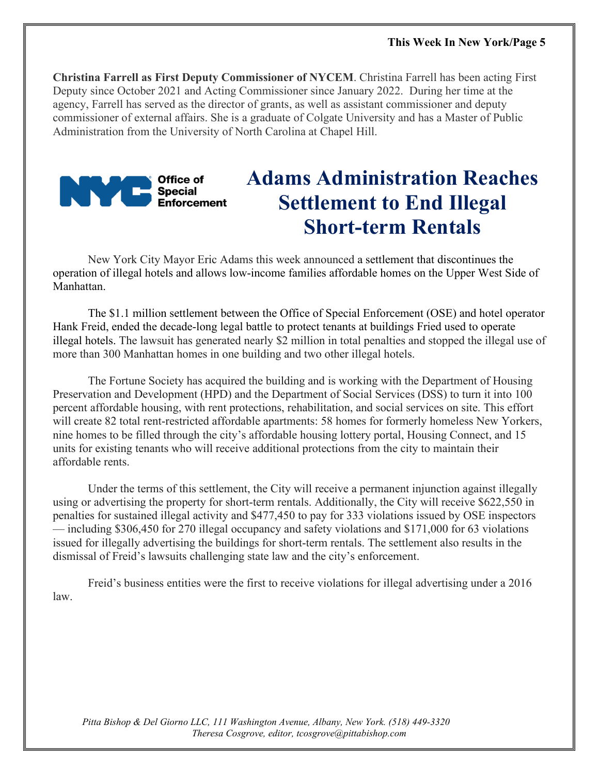**Christina Farrell as First Deputy Commissioner of NYCEM**. Christina Farrell has been acting First Deputy since October 2021 and Acting Commissioner since January 2022. During her time at the agency, Farrell has served as the director of grants, as well as assistant commissioner and deputy commissioner of external affairs. She is a graduate of Colgate University and has a Master of Public Administration from the University of North Carolina at Chapel Hill.



## **Adams Administration Reaches Settlement to End Illegal Short-term Rentals**

New York City Mayor Eric Adams this week announced a settlement that discontinues the operation of illegal hotels and allows low-income families affordable homes on the Upper West Side of Manhattan.

The \$1.1 million settlement between the Office of Special Enforcement (OSE) and hotel operator Hank Freid, ended the decade-long legal battle to protect tenants at buildings Fried used to operate illegal hotels. The lawsuit has generated nearly \$2 million in total penalties and stopped the illegal use of more than 300 Manhattan homes in one building and two other illegal hotels.

The Fortune Society has acquired the building and is working with the Department of Housing Preservation and Development (HPD) and the Department of Social Services (DSS) to turn it into 100 percent affordable housing, with rent protections, rehabilitation, and social services on site. This effort will create 82 total rent-restricted affordable apartments: 58 homes for formerly homeless New Yorkers, nine homes to be filled through the city's affordable housing lottery portal, Housing Connect, and 15 units for existing tenants who will receive additional protections from the city to maintain their affordable rents.

Under the terms of this settlement, the City will receive a permanent injunction against illegally using or advertising the property for short-term rentals. Additionally, the City will receive \$622,550 in penalties for sustained illegal activity and \$477,450 to pay for 333 violations issued by OSE inspectors — including \$306,450 for 270 illegal occupancy and safety violations and \$171,000 for 63 violations issued for illegally advertising the buildings for short-term rentals. The settlement also results in the dismissal of Freid's lawsuits challenging state law and the city's enforcement.

Freid's business entities were the first to receive violations for illegal advertising under a 2016 law.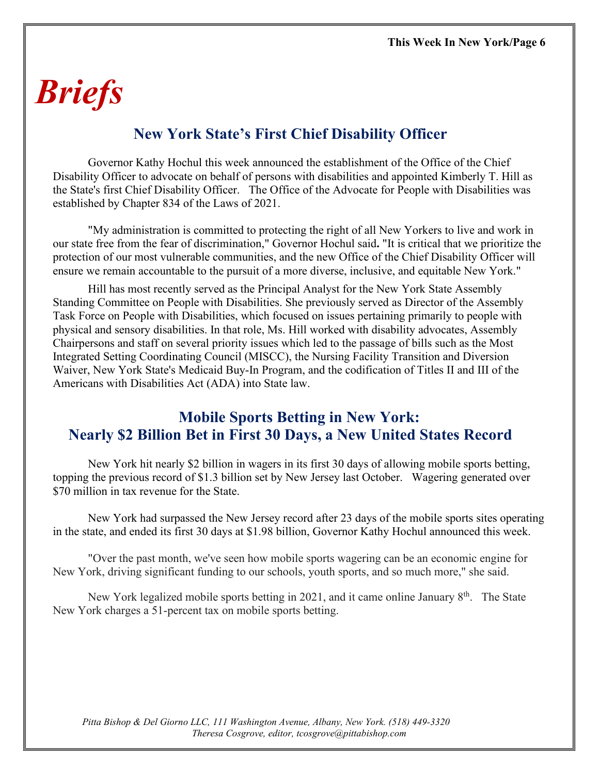## *Briefs*

#### **New York State's First Chief Disability Officer**

Governor Kathy Hochul this week announced the establishment of the Office of the Chief Disability Officer to advocate on behalf of persons with disabilities and appointed Kimberly T. Hill as the State's first Chief Disability Officer. The Office of the Advocate for People with Disabilities was established by Chapter 834 of the Laws of 2021.

"My administration is committed to protecting the right of all New Yorkers to live and work in our state free from the fear of discrimination," Governor Hochul said**.** "It is critical that we prioritize the protection of our most vulnerable communities, and the new Office of the Chief Disability Officer will ensure we remain accountable to the pursuit of a more diverse, inclusive, and equitable New York."

Hill has most recently served as the Principal Analyst for the New York State Assembly Standing Committee on People with Disabilities. She previously served as Director of the Assembly Task Force on People with Disabilities, which focused on issues pertaining primarily to people with physical and sensory disabilities. In that role, Ms. Hill worked with disability advocates, Assembly Chairpersons and staff on several priority issues which led to the passage of bills such as the Most Integrated Setting Coordinating Council (MISCC), the Nursing Facility Transition and Diversion Waiver, New York State's Medicaid Buy-In Program, and the codification of Titles II and III of the Americans with Disabilities Act (ADA) into State law.

#### **Mobile Sports Betting in New York: Nearly \$2 Billion Bet in First 30 Days, a New United States Record**

New York hit nearly \$2 billion in wagers in its first 30 days of allowing mobile sports betting, topping the previous record of \$1.3 billion set by New Jersey last October. Wagering generated over \$70 million in tax revenue for the State.

New York had surpassed the New Jersey record after 23 days of the mobile sports sites operating in the state, and ended its first 30 days at \$1.98 billion, Governor Kathy Hochul announced this week.

"Over the past month, we've seen how mobile sports wagering can be an economic engine for New York, driving significant funding to our schools, youth sports, and so much more," she said.

New York legalized mobile sports betting in 2021, and it came online January  $8<sup>th</sup>$ . The State New York charges a 51-percent tax on mobile sports betting.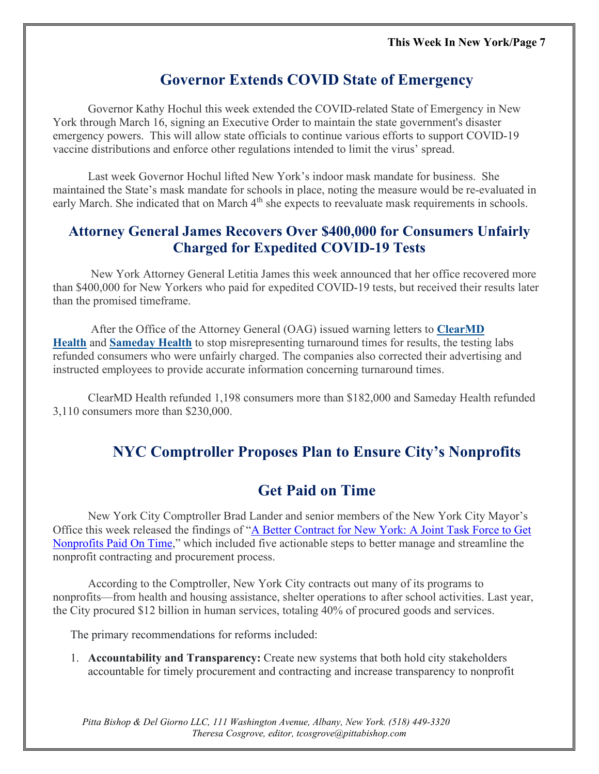#### **Governor Extends COVID State of Emergency**

Governor Kathy Hochul this week extended the COVID-related State of Emergency in New York through March 16, signing an Executive Order to maintain the state government's disaster emergency powers. This will allow state officials to continue various efforts to support COVID-19 vaccine distributions and enforce other regulations intended to limit the virus' spread.

Last week Governor Hochul lifted New York's indoor mask mandate for business. She maintained the State's mask mandate for schools in place, noting the measure would be re-evaluated in early March. She indicated that on March 4<sup>th</sup> she expects to reevaluate mask requirements in schools.

#### **Attorney General James Recovers Over \$400,000 for Consumers Unfairly Charged for Expedited COVID-19 Tests**

New York Attorney General Letitia James this week announced that her office recovered more than \$400,000 for New Yorkers who paid for expedited COVID-19 tests, but received their results later than the promised timeframe.

After the Office of the Attorney General (OAG) issued warning letters to **[ClearMD](https://ag.ny.gov/press-release/2021/attorney-general-james-issues-warning-clearmd-health-stop-misrepresenting)  [Health](https://ag.ny.gov/press-release/2021/attorney-general-james-issues-warning-clearmd-health-stop-misrepresenting)** and **[Sameday Health](https://ag.ny.gov/press-release/2021/attorney-general-james-issues-warning-sameday-health-stop-misrepresenting)** to stop misrepresenting turnaround times for results, the testing labs refunded consumers who were unfairly charged. The companies also corrected their advertising and instructed employees to provide accurate information concerning turnaround times.

ClearMD Health refunded 1,198 consumers more than \$182,000 and Sameday Health refunded 3,110 consumers more than \$230,000.

#### **NYC Comptroller Proposes Plan to Ensure City's Nonprofits**

#### **Get Paid on Time**

New York City Comptroller Brad Lander and senior members of the New York City Mayor's Office this week released the findings of ["A Better Contract for New York: A Joint Task Force to Get](https://comptroller.nyc.gov/reports/a-better-contract-for-new-york/)  [Nonprofits Paid On Time,](https://comptroller.nyc.gov/reports/a-better-contract-for-new-york/)" which included five actionable steps to better manage and streamline the nonprofit contracting and procurement process.

According to the Comptroller, New York City contracts out many of its programs to nonprofits—from health and housing assistance, shelter operations to after school activities. Last year, the City procured \$12 billion in human services, totaling 40% of procured goods and services.

The primary recommendations for reforms included:

1. **Accountability and Transparency:** Create new systems that both hold city stakeholders accountable for timely procurement and contracting and increase transparency to nonprofit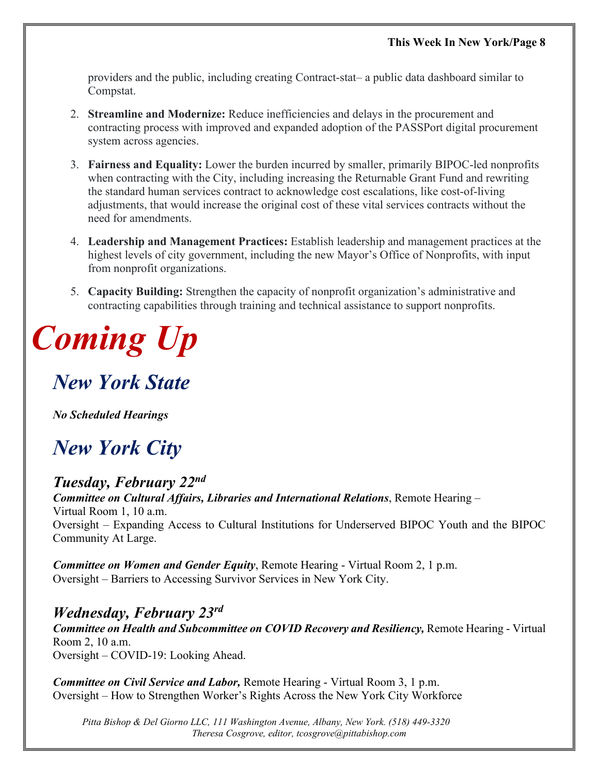providers and the public, including creating Contract-stat– a public data dashboard similar to Compstat.

- 2. **Streamline and Modernize:** Reduce inefficiencies and delays in the procurement and contracting process with improved and expanded adoption of the PASSPort digital procurement system across agencies.
- 3. **Fairness and Equality:** Lower the burden incurred by smaller, primarily BIPOC-led nonprofits when contracting with the City, including increasing the Returnable Grant Fund and rewriting the standard human services contract to acknowledge cost escalations, like cost-of-living adjustments, that would increase the original cost of these vital services contracts without the need for amendments.
- 4. **Leadership and Management Practices:** Establish leadership and management practices at the highest levels of city government, including the new Mayor's Office of Nonprofits, with input from nonprofit organizations.
- 5. **Capacity Building:** Strengthen the capacity of nonprofit organization's administrative and contracting capabilities through training and technical assistance to support nonprofits.

# *Coming Up*

## *New York State*

*No Scheduled Hearings*

## *New York City*

*Tuesday, February 22nd Committee on Cultural Affairs, Libraries and International Relations*, Remote Hearing – Virtual Room 1, 10 a.m. Oversight – Expanding Access to Cultural Institutions for Underserved BIPOC Youth and the BIPOC Community At Large.

*Committee on Women and Gender Equity*, Remote Hearing - Virtual Room 2, 1 p.m. Oversight – Barriers to Accessing Survivor Services in New York City.

*Wednesday, February 23rd Committee on Health and Subcommittee on COVID Recovery and Resiliency,* Remote Hearing - Virtual Room 2, 10 a.m. Oversight – COVID-19: Looking Ahead.

*Committee on Civil Service and Labor,* Remote Hearing - Virtual Room 3, 1 p.m. Oversight – How to Strengthen Worker's Rights Across the New York City Workforce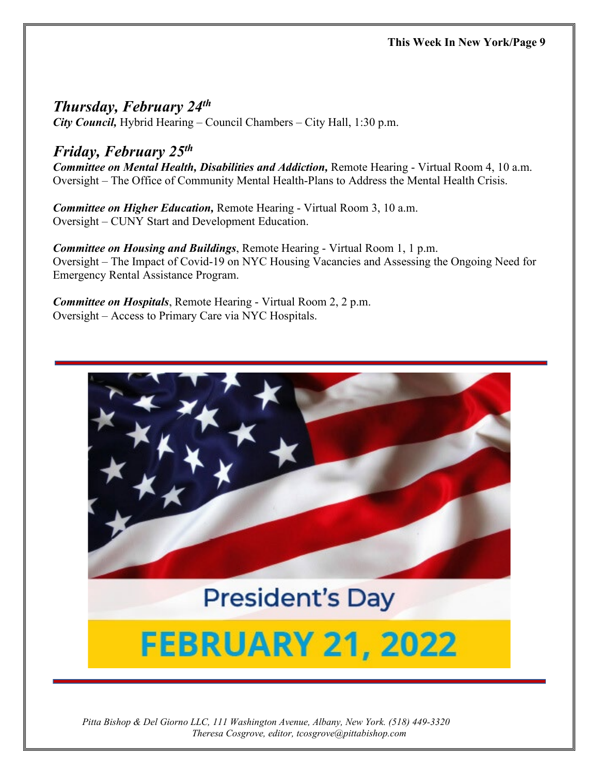*Thursday, February 24<sup>th</sup>*<br>*City Council, Hybrid Hearing – Council Chambers – City Hall, 1:30 p.m.* 

#### *Friday, February 25th*

*Committee on Mental Health, Disabilities and Addiction,* Remote Hearing - Virtual Room 4, 10 a.m. Oversight – The Office of Community Mental Health-Plans to Address the Mental Health Crisis.

*Committee on Higher Education,* Remote Hearing - Virtual Room 3, 10 a.m. Oversight – CUNY Start and Development Education.

*Committee on Housing and Buildings*, Remote Hearing - Virtual Room 1, 1 p.m. Oversight – The Impact of Covid-19 on NYC Housing Vacancies and Assessing the Ongoing Need for Emergency Rental Assistance Program.

*Committee on Hospitals*, Remote Hearing - Virtual Room 2, 2 p.m. Oversight – Access to Primary Care via NYC Hospitals.